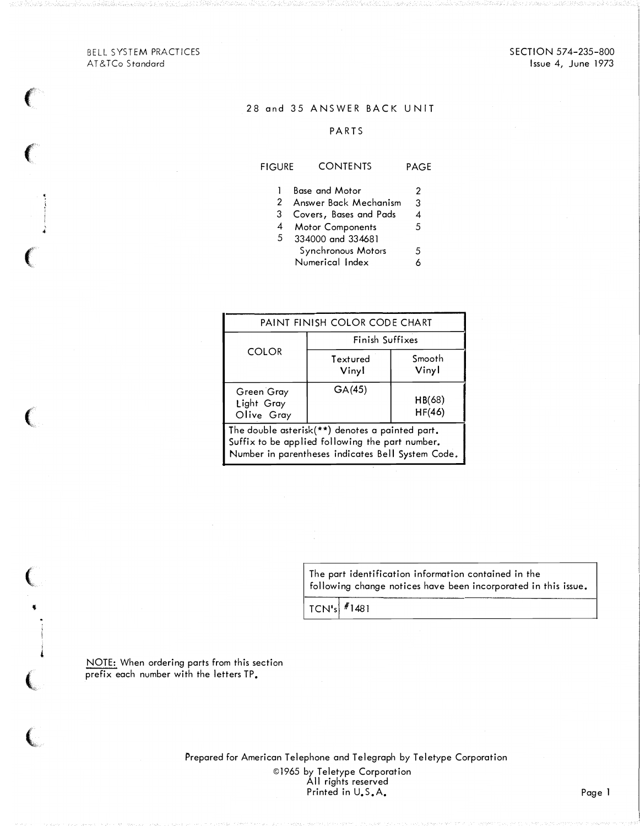BELL SYSTEM PRACTICES AT&TCo Standard

## 28 and 35 ANSWER BACK UNIT

## PARTS

# FIGURE CONTENTS PAGE

- 1 Base and Motor 2
- 2 Answer Back Mechanism 3
- 3 Covers, Bases and Pads 4
- 4 Motor Components <sup>5</sup>
- 5 334000 and 334681 Synchronous Motors 5<br>Numerical Index 6 Numerical Index 6

| PAINT FINISH COLOR CODE CHART                                                                                                                           |                   |                  |  |  |  |  |
|---------------------------------------------------------------------------------------------------------------------------------------------------------|-------------------|------------------|--|--|--|--|
| <b>COLOR</b>                                                                                                                                            | Finish Suffixes   |                  |  |  |  |  |
|                                                                                                                                                         | Textured<br>Vinyl | Smooth<br>Vinyl  |  |  |  |  |
| Green Gray<br>Light Gray<br>Olive Gray                                                                                                                  | GA(45)            | HB(68)<br>HF(46) |  |  |  |  |
| The double asterisk(**) denotes a painted part.<br>Suffix to be applied following the part number.<br>Number in parentheses indicates Bell System Code. |                   |                  |  |  |  |  |

The part identification information contained in the following change notices have been incorporated in this issue.

TCN'sl l1481

NOTE: When ordering parts from this section prefix each number with the letters TP.

'

!

contract the contract of the

Prepared for American Telephone and Telegraph by Teletype Corporation ©1965 by Teletype Corporation All rights reserved Printed in U.S.A. Printed in U.S.A. Page 1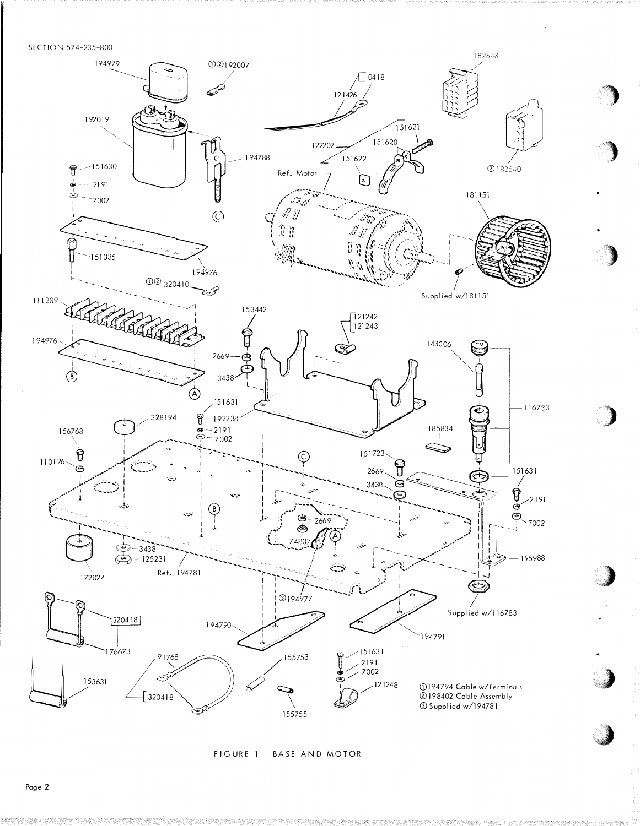SECTION 574-235-800



FIGURE 1 BASE AND MOTOR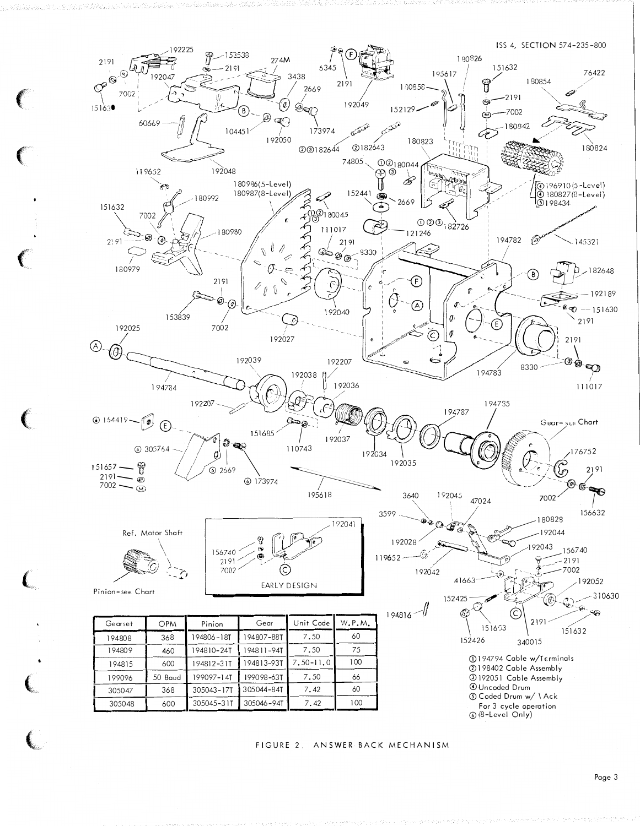

tradi wa Tariki

FIGURE 2. ANSWER BACK MECHANISM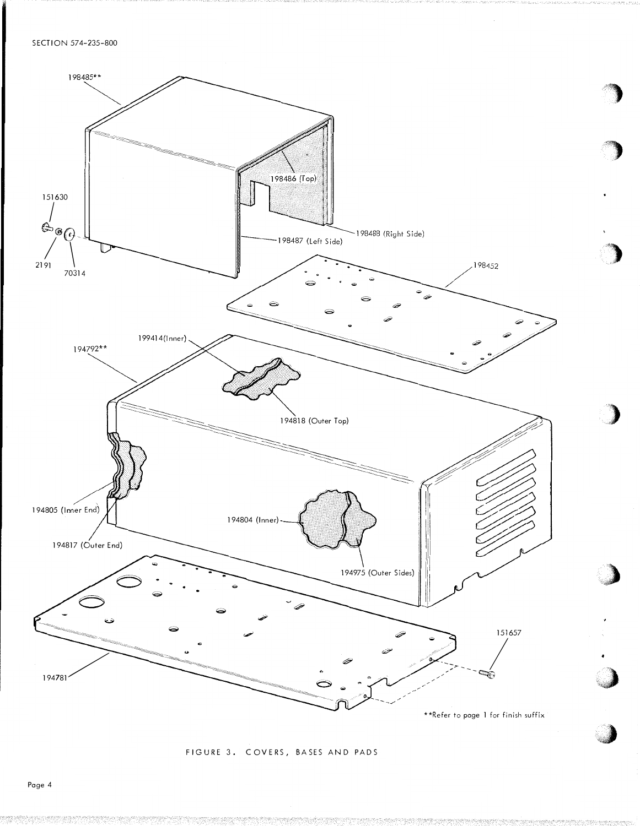

FIGURE 3. COVERS, BASES AND PADS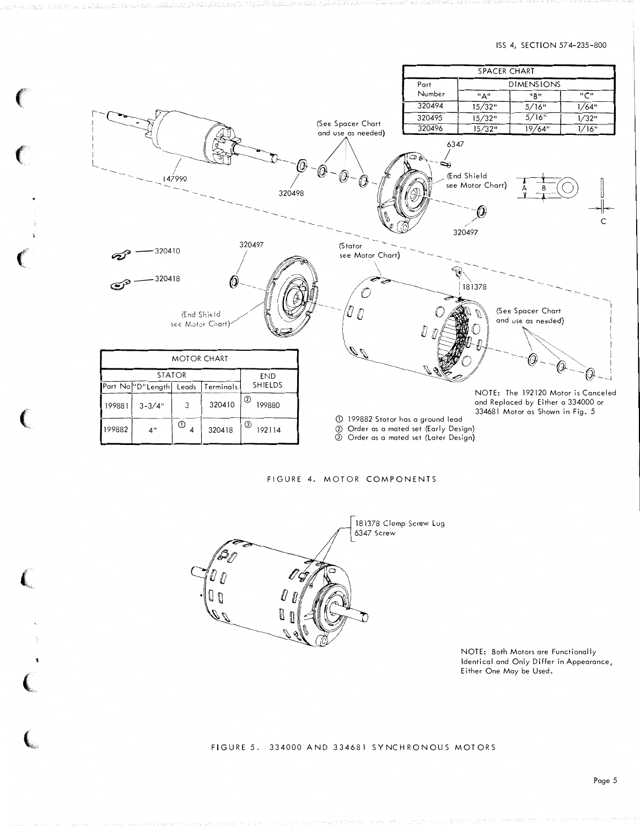#### ISS 4, SECTION 574-235-800



FIGURE 4. MOTOR COMPONENTS



NOTE: Both Motors are Functionally Identical and Only Differ in Appearance, Either One May be Used.

FIGURE 5. 334000 AND 334681 SYNCHRONOUS MOTORS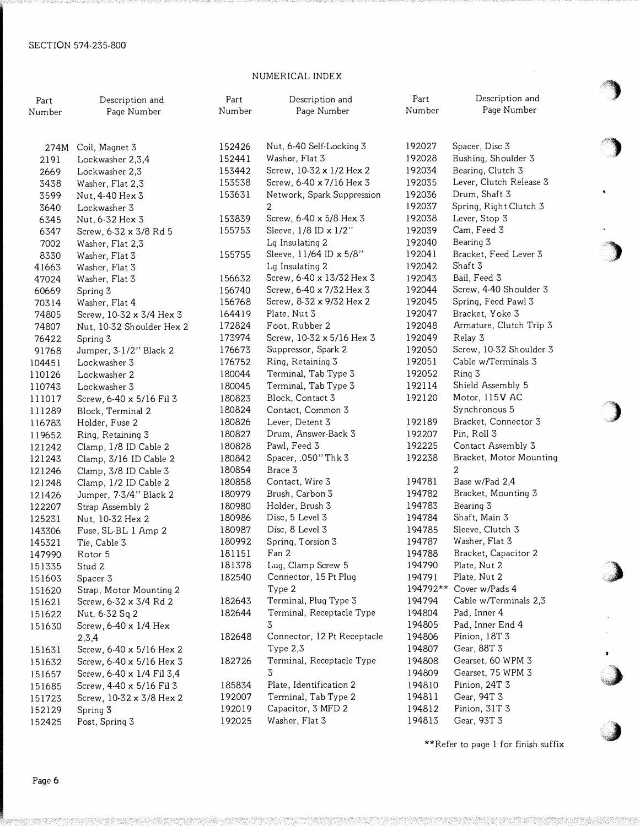# NUMERICAL INDEX

| Part             | Description and                                       | Part   | Description and                 | Part             | Description and                         |
|------------------|-------------------------------------------------------|--------|---------------------------------|------------------|-----------------------------------------|
| Number           | Page Number                                           | Number | Page Number                     | Number           | Page Number                             |
|                  |                                                       |        |                                 |                  |                                         |
| 274M             | Coil, Magnet 3                                        | 152426 | Nut, 6-40 Self-Locking 3        | 192027           | Spacer, Disc 3                          |
| 2191             | Lockwasher 2,3,4                                      | 152441 | Washer, Flat 3                  | 192028           | Bushing, Shoulder 3                     |
| 2669             | Lockwasher 2,3                                        | 153442 | Screw, 10-32 x 1/2 Hex 2        | 192034           | Bearing, Clutch 3                       |
| 3438             | Washer, Flat 2,3                                      | 153538 | Screw, 6-40 x 7/16 Hex 3        | 192035           | Lever, Clutch Release 3                 |
| 3599             | Nut, 4-40 Hex 3                                       | 153631 | Network, Spark Suppression      | 192036           | Drum, Shaft 3                           |
| 3640             | Lockwasher 3                                          |        | 2                               | 192037           | Spring, Right Clutch 3                  |
| 6345             | Nut, 6-32 Hex 3                                       | 153839 | Screw, 6-40 x 5/8 Hex 3         | 192038           | Lever, Stop 3                           |
| 6347             | Screw, 6-32 x 3/8 Rd 5                                | 155753 | Sleeve, 1/8 ID x 1/2"           | 192039           | Cam, Feed 3                             |
| 7002             | Washer, Flat 2,3                                      |        | Lg Insulating 2                 | 192040           | Bearing 3                               |
| 8330             | Washer, Flat 3                                        | 155755 | Sleeve, 11/64 ID x 5/8"         | 192041           | Bracket, Feed Lever 3                   |
| 41663            | Washer, Flat 3                                        |        | Lq Insulating 2                 | 192042           | Shaft 3                                 |
| 47024            | Washer, Flat 3                                        | 156632 | Screw, 6-40 x 13/32 Hex 3       | 192043           | Bail, Feed 3                            |
| 60669            | Spring 3                                              | 156740 | Screw, 6-40 x 7/32 Hex 3        | 192044           | Screw, 4-40 Shoulder 3                  |
| 70314            | Washer, Flat 4                                        | 156768 | Screw, 8-32 x 9/32 Hex 2        | 192045           | Spring, Feed Pawl 3                     |
| 74805            | Screw, 10-32 x 3/4 Hex 3                              | 164419 | Plate, Nut 3                    | 192047           | Bracket, Yoke 3                         |
| 74807            | Nut, 10-32 Shoulder Hex 2                             | 172824 | Foot, Rubber 2                  | 192048           | Armature, Clutch Trip 3                 |
| 76422            | Spring 3                                              | 173974 | Screw, 10-32 x 5/16 Hex 3       | 192049           | Relay 3                                 |
| 91768            | Jumper, 3-1/2" Black 2                                | 176673 | Suppressor, Spark 2             | 192050           | Screw, 10-32 Shoulder 3                 |
| 104451           | Lockwasher 3                                          | 176752 | Ring, Retaining 3               | 192051           | Cable w/Terminals 3                     |
| 110126           | Lockwasher 2                                          | 180044 | Terminal, Tab Type 3            | 192052           | Ring 3                                  |
| 110743           | Lockwasher 3                                          | 180045 | Terminal, Tab Type 3            | 192114           | Shield Assembly 5                       |
| 111017           | Screw, 6-40 x 5/16 Fil 3                              | 180823 | Block, Contact 3                | 192120           | Motor, 115V AC                          |
| 111289           | Block, Terminal 2                                     | 180824 | Contact, Common 3               |                  | Synchronous 5                           |
| 116783           | Holder, Fuse 2                                        | 180826 | Lever, Detent 3                 | 192189           | Bracket, Connector 3                    |
| 119652           | Ring, Retaining 3                                     | 180827 | Drum, Answer-Back 3             | 192207           | Pin, Roll 3                             |
| 121242           | Clamp, 1/8 ID Cable 2                                 | 180828 | Pawl, Feed 3                    | 192225           | Contact Assembly 3                      |
| 121243           | Clamp, 3/16 ID Cable 2                                | 180842 | Spacer, .050" Thk 3             | 192238           | Bracket, Motor Mounting                 |
| 121246           | Clamp, 3/8 ID Cable 3                                 | 180854 | Brace 3                         |                  | $\overline{a}$                          |
| 121248           | Clamp, 1/2 ID Cable 2                                 | 180858 | Contact, Wire 3                 | 194781           | Base w/Pad 2,4                          |
| 121426           | Jumper, 7-3/4" Black 2                                | 180979 | Brush, Carbon 3                 | 194782           | Bracket, Mounting 3                     |
| 122207           | Strap Assembly 2                                      | 180980 | Holder, Brush 3                 | 194783           | Bearing 3                               |
| 125231           | Nut, 10-32 Hex 2                                      | 180986 | Disc, 5 Level 3                 | 194784           | Shaft, Main 3                           |
| 143306           | Fuse, SL-BL 1 Amp 2                                   | 180987 | Disc, 8 Level 3                 | 194785           | Sleeve, Clutch 3                        |
| 145321           | Tie, Cable 3                                          | 180992 | Spring, Torsion 3               | 194787           | Washer, Flat 3                          |
| 147990           | Rotor 5                                               | 181151 | Fan 2                           | 194788           | Bracket, Capacitor 2                    |
| 151335           | Stud 2                                                | 181378 | Lug, Clamp Screw 5              | 194790           | Plate, Nut 2                            |
| 151603           | Spacer 3                                              | 182540 | Connector, 15 Pt Plug           | 194791           | Plate, Nut 2                            |
| 151620           | Strap, Motor Mounting 2                               |        | Type 2<br>Terminal, Plug Type 3 | 194792**         | Cover w/Pads 4<br>Cable w/Terminals 2,3 |
| 151621           | Screw, 6-32 x 3/4 Rd 2                                | 182643 | Terminal, Receptacle Type       | 194794           | Pad, Inner 4                            |
| 151622           | Nut, 6-32 Sq 2                                        | 182644 | 3                               | 194804           | Pad, Inner End 4                        |
| 151630           | Screw, 6-40 x 1/4 Hex                                 |        | Connector, 12 Pt Receptacle     | 194805           | Pinion, 18T 3                           |
|                  | 2,3,4                                                 | 182648 | Type $2,3$                      | 194806<br>194807 | Gear, 88T 3                             |
| 151631           | Screw, 6-40 x 5/16 Hex 2                              | 182726 | Terminal, Receptacle Type       | 194808           | Gearset, 60 WPM 3                       |
| 151632           | Screw, 6-40 x 5/16 Hex 3                              |        | 3                               | 194809           | Gearset, 75 WPM 3                       |
| 151657           | Screw, 6-40 x 1/4 Fil 3,4<br>Screw, 4-40 x 5/16 Fil 3 | 185834 | Plate, Identification 2         | 194810           | Pinion, 24T 3                           |
| 151685           | Screw, 10-32 x 3/8 Hex 2                              | 192007 | Terminal, Tab Type 2            | 194811           | Gear, 94T 3                             |
| 151723<br>152129 | Spring 3                                              | 192019 | Capacitor, 3 MFD 2              | 194812           | Pinion, 31T 3                           |
| 152425           | Post, Spring 3                                        | 192025 | Washer, Flat 3                  | 194813           | Gear, 93T 3                             |
|                  |                                                       |        |                                 |                  |                                         |

\*\*Refer to page l for finish suffix

'')

' ' ''')

 $\ddot{\phantom{0}}$ 

'�)

,)

'�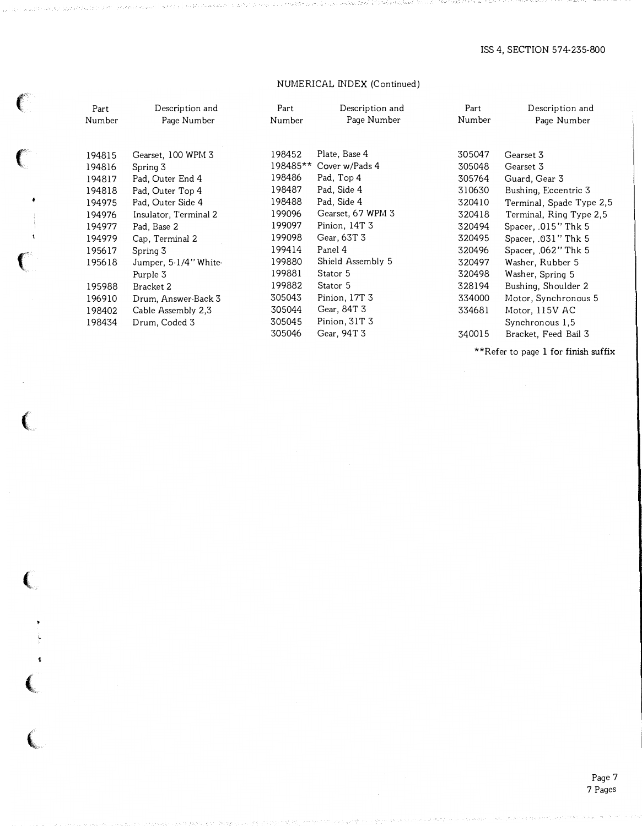# NUME RICAL INDEX (Continued)

|         | Part   | Description and       | Part     | Description and   | Part   | Description and          |
|---------|--------|-----------------------|----------|-------------------|--------|--------------------------|
|         | Number | Page Number           | Number   | Page Number       | Number | Page Number              |
|         |        |                       |          |                   |        |                          |
|         | 194815 | Gearset, 100 WPM 3    | 198452   | Plate, Base 4     | 305047 | Gearset 3                |
|         | 194816 | Spring 3              | 198485** | Cover w/Pads 4    | 305048 | Gearset 3                |
|         | 194817 | Pad, Outer End 4      | 198486   | Pad, Top 4        | 305764 | Guard, Gear 3            |
|         | 194818 | Pad, Outer Top 4      | 198487   | Pad, Side 4       | 310630 | Bushing, Eccentric 3     |
|         | 194975 | Pad, Outer Side 4     | 198488   | Pad, Side 4       | 320410 | Terminal, Spade Type 2,5 |
|         | 194976 | Insulator, Terminal 2 | 199096   | Gearset, 67 WPM 3 | 320418 | Terminal, Ring Type 2,5  |
|         | 194977 | Pad, Base 2           | 199097   | Pinion, 14T 3     | 320494 | Spacer, .015" Thk 5      |
|         | 194979 | Cap, Terminal 2       | 199098   | Gear, 63T 3       | 320495 | Spacer, .031" Thk 5      |
|         | 195617 | Spring 3              | 199414   | Panel 4           | 320496 | Spacer, .062" Thk 5      |
|         | 195618 | Jumper, 5-1/4" White- | 199880   | Shield Assembly 5 | 320497 | Washer, Rubber 5         |
| .<br>Sa |        | Purple 3              | 199881   | Stator 5          | 320498 | Washer, Spring 5         |
|         | 195988 | Bracket 2             | 199882   | Stator 5          | 328194 | Bushing, Shoulder 2      |
|         | 196910 | Drum, Answer-Back 3   | 305043   | Pinion, 17T 3     | 334000 | Motor, Synchronous 5     |
|         | 198402 | Cable Assembly 2.3    | 305044   | Gear, 84T 3       | 334681 | Motor, 115V AC           |
|         | 198434 | Drum, Coded 3         | 305045   | Pinion, 31T 3     |        | Synchronous 1,5          |
|         |        |                       | 305046   | Gear, 94T 3       | 340015 | Bracket, Feed Bail 3     |

 $\epsilon$ 

 $\left(\right.$ 

 $\big($ 

 $\begin{array}{c} \begin{array}{c} \cdot \end{array} \\ \begin{array}{c} \cdot \end{array} \end{array}$ 

\*\*Refer to page 1 for finish suffix